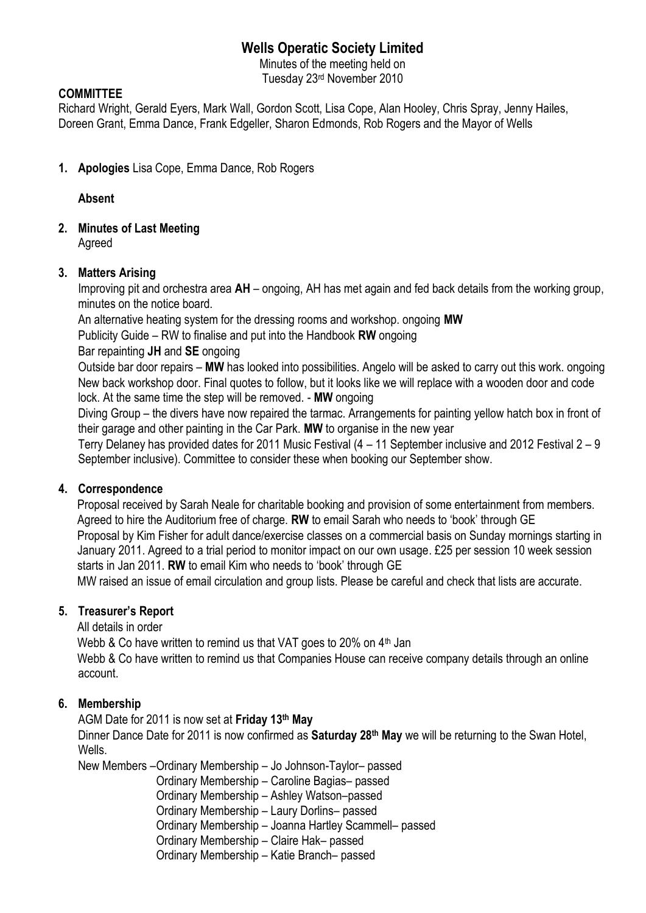# **Wells Operatic Society Limited**

Minutes of the meeting held on Tuesday 23rd November 2010

### **COMMITTEE**

Richard Wright, Gerald Eyers, Mark Wall, Gordon Scott, Lisa Cope, Alan Hooley, Chris Spray, Jenny Hailes, Doreen Grant, Emma Dance, Frank Edgeller, Sharon Edmonds, Rob Rogers and the Mayor of Wells

**1. Apologies** Lisa Cope, Emma Dance, Rob Rogers

**Absent**

**2. Minutes of Last Meeting**

Agreed

#### **3. Matters Arising**

Improving pit and orchestra area **AH** – ongoing, AH has met again and fed back details from the working group, minutes on the notice board.

An alternative heating system for the dressing rooms and workshop. ongoing **MW**

Publicity Guide – RW to finalise and put into the Handbook **RW** ongoing

Bar repainting **JH** and **SE** ongoing

Outside bar door repairs – **MW** has looked into possibilities. Angelo will be asked to carry out this work. ongoing New back workshop door. Final quotes to follow, but it looks like we will replace with a wooden door and code lock. At the same time the step will be removed. - **MW** ongoing

Diving Group – the divers have now repaired the tarmac. Arrangements for painting yellow hatch box in front of their garage and other painting in the Car Park. **MW** to organise in the new year

Terry Delaney has provided dates for 2011 Music Festival (4 – 11 September inclusive and 2012 Festival 2 – 9 September inclusive). Committee to consider these when booking our September show.

#### **4. Correspondence**

 Proposal received by Sarah Neale for charitable booking and provision of some entertainment from members. Agreed to hire the Auditorium free of charge. **RW** to email Sarah who needs to 'book' through GE Proposal by Kim Fisher for adult dance/exercise classes on a commercial basis on Sunday mornings starting in January 2011. Agreed to a trial period to monitor impact on our own usage. £25 per session 10 week session starts in Jan 2011. **RW** to email Kim who needs to 'book' through GE

MW raised an issue of email circulation and group lists. Please be careful and check that lists are accurate.

### **5. Treasurer's Report**

All details in order

Webb & Co have written to remind us that VAT goes to 20% on  $4<sup>th</sup>$  Jan

Webb & Co have written to remind us that Companies House can receive company details through an online account.

### **6. Membership**

AGM Date for 2011 is now set at **Friday 13th May**

Dinner Dance Date for 2011 is now confirmed as **Saturday 28th May** we will be returning to the Swan Hotel, Wells.

New Members –Ordinary Membership – Jo Johnson-Taylor– passed Ordinary Membership – Caroline Bagias– passed Ordinary Membership – Ashley Watson–passed Ordinary Membership – Laury Dorlins– passed Ordinary Membership – Joanna Hartley Scammell– passed Ordinary Membership – Claire Hak– passed Ordinary Membership – Katie Branch– passed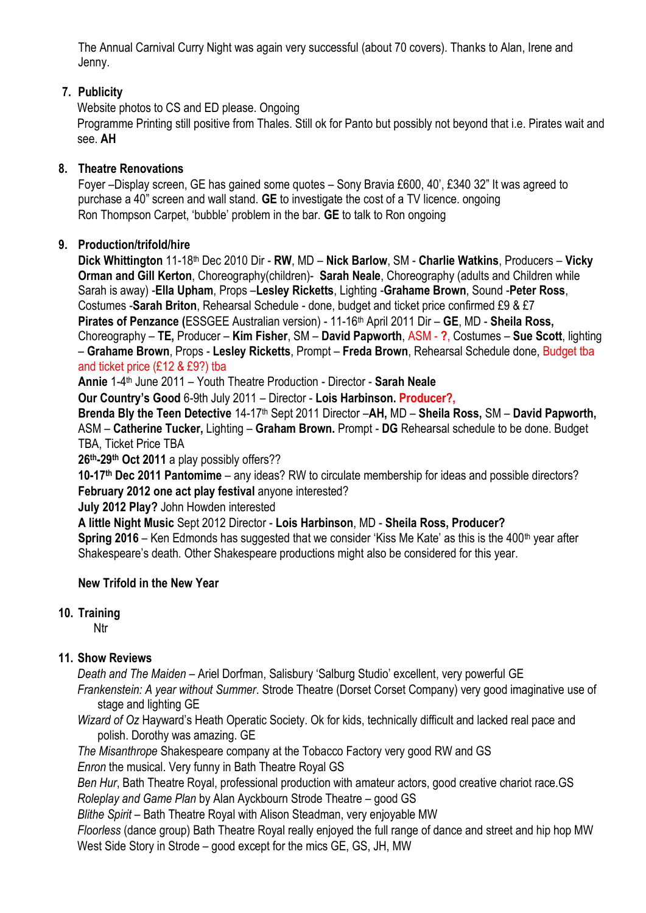The Annual Carnival Curry Night was again very successful (about 70 covers). Thanks to Alan, Irene and Jenny.

### **7. Publicity**

Website photos to CS and ED please. Ongoing Programme Printing still positive from Thales. Still ok for Panto but possibly not beyond that i.e. Pirates wait and see. **AH**

### **8. Theatre Renovations**

Foyer –Display screen, GE has gained some quotes – Sony Bravia £600, 40', £340 32" It was agreed to purchase a 40" screen and wall stand. **GE** to investigate the cost of a TV licence. ongoing Ron Thompson Carpet, 'bubble' problem in the bar. **GE** to talk to Ron ongoing

### **9. Production/trifold/hire**

**Dick Whittington** 11-18th Dec 2010 Dir - **RW**, MD – **Nick Barlow**, SM - **Charlie Watkins**, Producers – **Vicky Orman and Gill Kerton**, Choreography(children)- **Sarah Neale**, Choreography (adults and Children while Sarah is away) -**Ella Upham**, Props –**Lesley Ricketts**, Lighting -**Grahame Brown**, Sound -**Peter Ross**, Costumes -**Sarah Briton**, Rehearsal Schedule - done, budget and ticket price confirmed £9 & £7 **Pirates of Penzance (**ESSGEE Australian version) - 11-16th April 2011 Dir – **GE**, MD - **Sheila Ross,**  Choreography – **TE,** Producer – **Kim Fisher**, SM – **David Papworth**, ASM - **?**, Costumes – **Sue Scott**, lighting – **Grahame Brown**, Props - **Lesley Ricketts**, Prompt – **Freda Brown**, Rehearsal Schedule done, Budget tba and ticket price (£12 & £9?) tba

**Annie** 1-4 th June 2011 – Youth Theatre Production - Director - **Sarah Neale**

**Our Country's Good** 6-9th July 2011 – Director - **Lois Harbinson. Producer?,**

**Brenda Bly the Teen Detective** 14-17th Sept 2011 Director –**AH,** MD – **Sheila Ross,** SM – **David Papworth,**  ASM – **Catherine Tucker,** Lighting – **Graham Brown.** Prompt - **DG** Rehearsal schedule to be done. Budget TBA, Ticket Price TBA

**26th-29th Oct 2011** a play possibly offers??

**10-17th Dec 2011 Pantomime** – any ideas? RW to circulate membership for ideas and possible directors? **February 2012 one act play festival** anyone interested?

**July 2012 Play?** John Howden interested

**A little Night Music** Sept 2012 Director - **Lois Harbinson**, MD - **Sheila Ross, Producer?**

**Spring 2016** – Ken Edmonds has suggested that we consider 'Kiss Me Kate' as this is the 400<sup>th</sup> year after Shakespeare's death. Other Shakespeare productions might also be considered for this year.

### **New Trifold in the New Year**

# **10. Training**

Ntr

# **11. Show Reviews**

*Death and The Maiden* – Ariel Dorfman, Salisbury 'Salburg Studio' excellent, very powerful GE *Frankenstein: A year without Summer*. Strode Theatre (Dorset Corset Company) very good imaginative use of stage and lighting GE

*Wizard of Oz* Hayward's Heath Operatic Society. Ok for kids, technically difficult and lacked real pace and polish. Dorothy was amazing. GE

*The Misanthrope* Shakespeare company at the Tobacco Factory very good RW and GS *Enron* the musical. Very funny in Bath Theatre Royal GS

*Ben Hur*, Bath Theatre Royal, professional production with amateur actors, good creative chariot race.GS *Roleplay and Game Plan* by Alan Ayckbourn Strode Theatre – good GS

*Blithe Spirit* – Bath Theatre Royal with Alison Steadman, very enjoyable MW

*Floorless* (dance group) Bath Theatre Royal really enjoyed the full range of dance and street and hip hop MW West Side Story in Strode – good except for the mics GE, GS, JH, MW